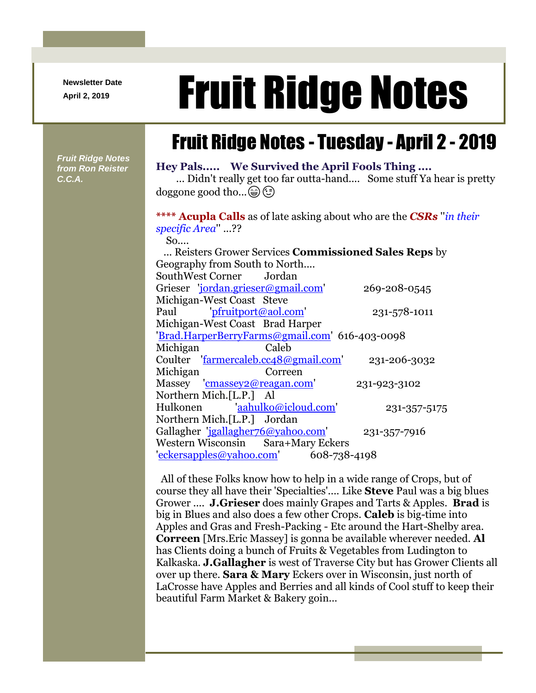**Newsletter Date**

# April 2, 2019 **Fruit Ridge Notes**

# Fruit Ridge Notes - Tuesday - April 2 - 2019

*Fruit Ridge Notes from Ron Reister C.C.A.*

### **Hey Pals..... We Survived the April Fools Thing ....**

... Didn't really get too far outta-hand.... Some stuff Ya hear is pretty doggone good tho... (a) (c)

## **\*\*\*\* Acupla Calls** as of late asking about who are the *CSRs* ''*in their specific Area*'' ...??

So....

| Reisters Grower Services <b>Commissioned Sales Reps</b> by |              |
|------------------------------------------------------------|--------------|
| Geography from South to North                              |              |
| SouthWest Corner Jordan                                    |              |
| Grieser 'jordan.grieser@gmail.com'                         | 269-208-0545 |
| Michigan-West Coast Steve                                  |              |
| Paul pfruitport@aol.com                                    | 231-578-1011 |
| Michigan-West Coast Brad Harper                            |              |
| 'Brad.HarperBerryFarms@gmail.com' 616-403-0098             |              |
| Michigan<br><b>Caleb</b>                                   |              |
| Coulter 'farmercaleb.cc48@gmail.com'                       | 231-206-3032 |
| Michigan<br>Correen                                        |              |
| Massey 'cmassey2@reagan.com'                               | 231-923-3102 |
| Northern Mich.[L.P.] Al                                    |              |
| Hulkonen 'aahulko@icloud.com'                              | 231-357-5175 |
| Northern Mich.[L.P.] Jordan                                |              |
| Gallagher 'jgallagher76@yahoo.com'                         | 231-357-7916 |
| Western Wisconsin Sara+Mary Eckers                         |              |
| $"eckersapples@yahoo.com'$ 608-738-4198                    |              |

All of these Folks know how to help in a wide range of Crops, but of course they all have their 'Specialties'.... Like **Steve** Paul was a big blues Grower .... **J.Grieser** does mainly Grapes and Tarts & Apples. **Brad** is big in Blues and also does a few other Crops. **Caleb** is big-time into Apples and Gras and Fresh-Packing - Etc around the Hart-Shelby area. **Correen** [Mrs.Eric Massey] is gonna be available wherever needed. **Al** has Clients doing a bunch of Fruits & Vegetables from Ludington to Kalkaska. **J.Gallagher** is west of Traverse City but has Grower Clients all over up there. **Sara & Mary** Eckers over in Wisconsin, just north of LaCrosse have Apples and Berries and all kinds of Cool stuff to keep their beautiful Farm Market & Bakery goin...